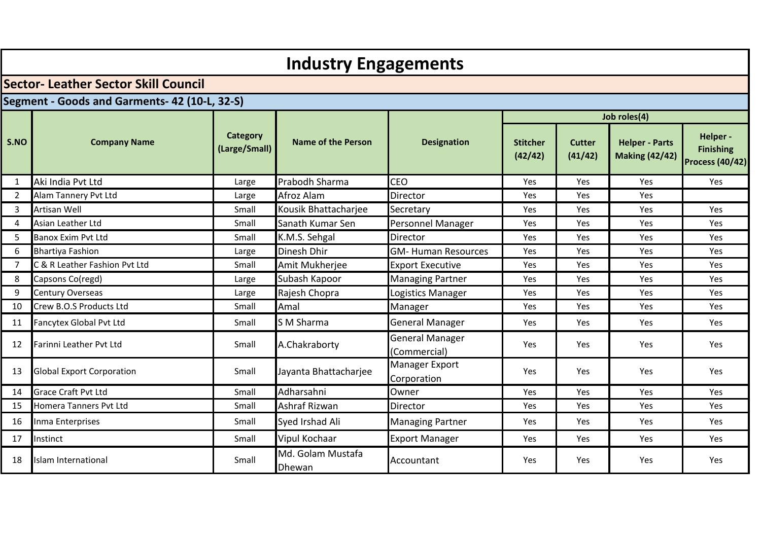|                                               | <b>Industry Engagements</b>                |                                  |                             |                                        |                            |                          |                                                |                                                       |  |  |  |  |  |
|-----------------------------------------------|--------------------------------------------|----------------------------------|-----------------------------|----------------------------------------|----------------------------|--------------------------|------------------------------------------------|-------------------------------------------------------|--|--|--|--|--|
|                                               | <b>Sector-Leather Sector Skill Council</b> |                                  |                             |                                        |                            |                          |                                                |                                                       |  |  |  |  |  |
| Segment - Goods and Garments- 42 (10-L, 32-S) |                                            |                                  |                             |                                        |                            |                          |                                                |                                                       |  |  |  |  |  |
|                                               |                                            |                                  |                             |                                        |                            |                          | Job roles(4)                                   |                                                       |  |  |  |  |  |
| S.NO                                          | <b>Company Name</b>                        | <b>Category</b><br>(Large/Small) |                             | <b>Designation</b>                     | <b>Stitcher</b><br>(42/42) | <b>Cutter</b><br>(41/42) | <b>Helper - Parts</b><br><b>Making (42/42)</b> | Helper-<br><b>Finishing</b><br><b>Process (40/42)</b> |  |  |  |  |  |
| 1                                             | Aki India Pvt Ltd                          | Large                            | Prabodh Sharma              | <b>CEO</b>                             | Yes                        | Yes                      | Yes                                            | Yes                                                   |  |  |  |  |  |
| $\overline{2}$                                | Alam Tannery Pvt Ltd                       | Large                            | Afroz Alam                  | Director                               | <b>Yes</b>                 | Yes                      | <b>Yes</b>                                     |                                                       |  |  |  |  |  |
| 3                                             | Artisan Well<br>Small                      |                                  | Kousik Bhattacharjee        | Secretary                              | Yes                        | Yes                      | Yes                                            | Yes                                                   |  |  |  |  |  |
| 4                                             | Asian Leather Ltd<br>Small                 |                                  | Sanath Kumar Sen            | Personnel Manager                      | Yes                        | Yes                      | Yes                                            | Yes                                                   |  |  |  |  |  |
| 5                                             | <b>Banox Exim Pvt Ltd</b><br>Small         |                                  | K.M.S. Sehgal               | Director                               | Yes                        | Yes                      | Yes                                            | Yes                                                   |  |  |  |  |  |
| 6                                             | <b>Bhartiya Fashion</b><br>Large           |                                  | Dinesh Dhir                 | <b>GM- Human Resources</b>             | Yes                        | Yes                      | Yes                                            | Yes                                                   |  |  |  |  |  |
| 7                                             | C & R Leather Fashion Pvt Ltd              | Small                            | Amit Mukherjee              | <b>Export Executive</b>                | Yes                        | Yes                      | Yes                                            | Yes                                                   |  |  |  |  |  |
| 8                                             | Capsons Co(regd)                           | Large                            | Subash Kapoor               | <b>Managing Partner</b>                | Yes                        | Yes                      | Yes                                            | Yes                                                   |  |  |  |  |  |
| 9                                             | Century Overseas                           | Large                            | Rajesh Chopra               | Logistics Manager                      | Yes                        | Yes                      | Yes                                            | Yes                                                   |  |  |  |  |  |
| 10                                            | Crew B.O.S Products Ltd                    | Small                            | Amal                        | Manager                                | Yes                        | Yes                      | <b>Yes</b>                                     | Yes                                                   |  |  |  |  |  |
| 11                                            | Fancytex Global Pvt Ltd                    | Small                            | S M Sharma                  | <b>General Manager</b>                 | <b>Yes</b>                 | Yes                      | <b>Yes</b>                                     | Yes                                                   |  |  |  |  |  |
| 12                                            | Farinni Leather Pvt Ltd                    | Small                            | A.Chakraborty               | <b>General Manager</b><br>(Commercial) | Yes                        | Yes                      | Yes                                            | Yes                                                   |  |  |  |  |  |
| 13                                            | <b>Global Export Corporation</b>           | Small                            | Jayanta Bhattacharjee       | Manager Export<br>Corporation          | Yes                        | Yes                      | Yes                                            | Yes                                                   |  |  |  |  |  |
| 14                                            | <b>Grace Craft Pvt Ltd</b>                 | Small                            | Adharsahni                  | Owner                                  | Yes                        | Yes                      | Yes                                            | Yes                                                   |  |  |  |  |  |
| 15                                            | Homera Tanners Pvt Ltd                     | Small                            | Ashraf Rizwan               | Director                               | Yes                        | Yes                      | Yes                                            | Yes                                                   |  |  |  |  |  |
| 16                                            | Inma Enterprises                           | Small                            | Syed Irshad Ali             | <b>Managing Partner</b>                | Yes                        | Yes                      | Yes                                            | Yes                                                   |  |  |  |  |  |
| 17                                            | Instinct                                   | Small                            | Vipul Kochaar               | <b>Export Manager</b>                  | Yes                        | Yes                      | Yes.                                           | Yes                                                   |  |  |  |  |  |
| 18                                            | Islam International                        | Small                            | Md. Golam Mustafa<br>Dhewan | Accountant                             | Yes                        | Yes                      | Yes                                            | Yes                                                   |  |  |  |  |  |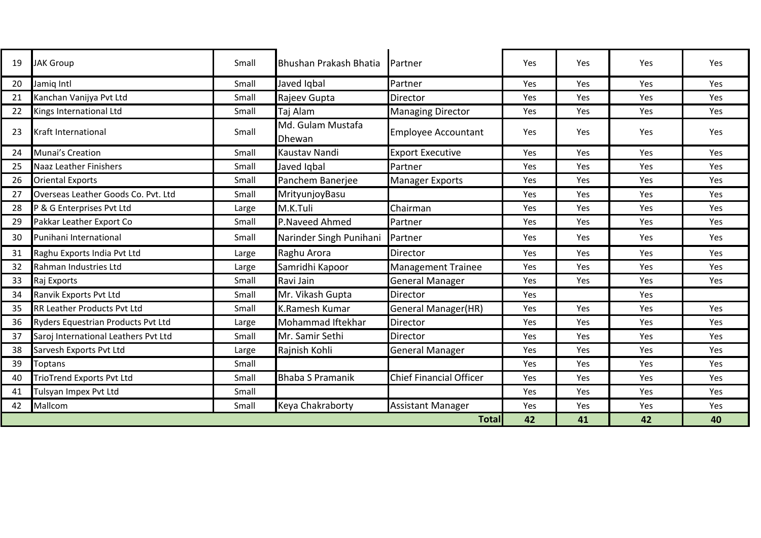| 19 | <b>JAK Group</b>                                     | Small | Bhushan Prakash Bhatia      | Partner                        | Yes | Yes | Yes | Yes        |
|----|------------------------------------------------------|-------|-----------------------------|--------------------------------|-----|-----|-----|------------|
| 20 | Jamig Intl                                           | Small | Javed Iqbal                 | Partner                        | Yes | Yes | Yes | Yes        |
| 21 | Kanchan Vanijya Pvt Ltd                              | Small | Rajeev Gupta                | Director                       | Yes | Yes | Yes | <b>Yes</b> |
| 22 | Kings International Ltd                              | Small | Taj Alam                    | <b>Managing Director</b>       | Yes | Yes | Yes | <b>Yes</b> |
| 23 | <b>Kraft International</b>                           | Small | Md. Gulam Mustafa<br>Dhewan | <b>Employee Accountant</b>     | Yes | Yes | Yes | <b>Yes</b> |
| 24 | Munai's Creation                                     | Small | Kaustav Nandi               | <b>Export Executive</b>        | Yes | Yes | Yes | Yes        |
| 25 | <b>Naaz Leather Finishers</b>                        | Small | Javed Igbal                 | Partner                        | Yes | Yes | Yes | Yes        |
| 26 | Panchem Banerjee<br><b>Oriental Exports</b><br>Small |       |                             | <b>Manager Exports</b>         | Yes | Yes | Yes | Yes        |
| 27 | Overseas Leather Goods Co. Pvt. Ltd                  | Small | MrityunjoyBasu              |                                | Yes | Yes | Yes | Yes        |
| 28 | P & G Enterprises Pvt Ltd                            | Large | M.K.Tuli                    | Chairman                       | Yes | Yes | Yes | Yes        |
| 29 | Pakkar Leather Export Co                             | Small | P.Naveed Ahmed              | Partner                        | Yes | Yes | Yes | Yes        |
| 30 | Punihani International                               | Small | Narinder Singh Punihani     | Partner                        | Yes | Yes | Yes | <b>Yes</b> |
| 31 | Raghu Exports India Pvt Ltd                          | Large | Raghu Arora                 | Director                       | Yes | Yes | Yes | Yes        |
| 32 | Rahman Industries Ltd                                | Large | Samridhi Kapoor             | <b>Management Trainee</b>      | Yes | Yes | Yes | Yes        |
| 33 | Raj Exports                                          | Small | Ravi Jain                   | <b>General Manager</b>         | Yes | Yes | Yes | Yes        |
| 34 | Ranvik Exports Pvt Ltd                               | Small | Mr. Vikash Gupta            | Director                       | Yes |     | Yes |            |
| 35 | <b>RR Leather Products Pvt Ltd</b>                   | Small | <b>K.Ramesh Kumar</b>       | General Manager(HR)            | Yes | Yes | Yes | <b>Yes</b> |
| 36 | Ryders Equestrian Products Pvt Ltd                   | Large | Mohammad Iftekhar           | Director                       | Yes | Yes | Yes | Yes        |
| 37 | Saroj International Leathers Pvt Ltd                 | Small | Mr. Samir Sethi             | Director                       | Yes | Yes | Yes | <b>Yes</b> |
| 38 | Sarvesh Exports Pvt Ltd                              | Large | Rajnish Kohli               | <b>General Manager</b>         | Yes | Yes | Yes | Yes        |
| 39 | <b>Toptans</b>                                       | Small |                             |                                | Yes | Yes | Yes | <b>Yes</b> |
| 40 | <b>TrioTrend Exports Pvt Ltd</b>                     | Small | <b>Bhaba S Pramanik</b>     | <b>Chief Financial Officer</b> | Yes | Yes | Yes | Yes        |
| 41 | Tulsyan Impex Pvt Ltd                                | Small |                             |                                | Yes | Yes | Yes | <b>Yes</b> |
| 42 | Mallcom                                              | Small | Keya Chakraborty            | <b>Assistant Manager</b>       | Yes | Yes | Yes | Yes        |
|    |                                                      |       |                             | <b>Total</b>                   | 42  | 41  | 42  | 40         |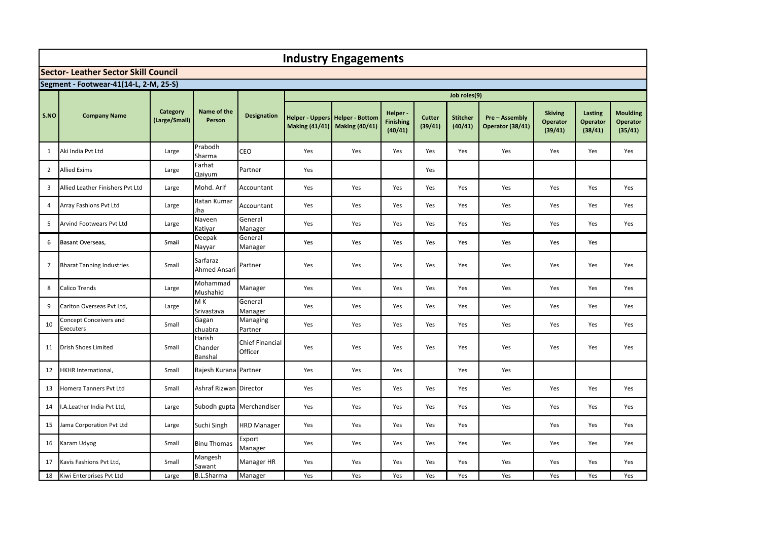|                | <b>Industry Engagements</b>                 |                           |                                 |                                   |     |                                                                         |                                         |                   |                            |                                         |                                              |                                       |                                        |
|----------------|---------------------------------------------|---------------------------|---------------------------------|-----------------------------------|-----|-------------------------------------------------------------------------|-----------------------------------------|-------------------|----------------------------|-----------------------------------------|----------------------------------------------|---------------------------------------|----------------------------------------|
|                | <b>Sector- Leather Sector Skill Council</b> |                           |                                 |                                   |     |                                                                         |                                         |                   |                            |                                         |                                              |                                       |                                        |
|                | Segment - Footwear-41(14-L, 2-M, 25-S)      |                           |                                 |                                   |     |                                                                         |                                         |                   |                            |                                         |                                              |                                       |                                        |
|                |                                             |                           |                                 |                                   |     |                                                                         |                                         |                   | Job roles(9)               |                                         |                                              |                                       |                                        |
| S.NO           | <b>Company Name</b>                         | Category<br>(Large/Small) | Name of the<br>Person           | <b>Designation</b>                |     | <b>Helper - Uppers Helper - Bottom</b><br>Making (41/41) Making (40/41) | Helper -<br><b>Finishing</b><br>(40/41) | Cutter<br>(39/41) | <b>Stitcher</b><br>(40/41) | <b>Pre-Assembly</b><br>Operator (38/41) | <b>Skiving</b><br><b>Operator</b><br>(39/41) | Lasting<br><b>Operator</b><br>(38/41) | <b>Moulding</b><br>Operator<br>(35/41) |
| 1              | Aki India Pvt Ltd                           | Large                     | Prabodh<br>Sharma               | CEO                               | Yes | Yes                                                                     | Yes                                     | Yes               | Yes                        | Yes                                     | Yes                                          | Yes                                   | Yes                                    |
| $\overline{2}$ | <b>Allied Exims</b>                         | Large                     | Farhat<br>Qaiyum                | Partner                           | Yes |                                                                         |                                         | Yes               |                            |                                         |                                              |                                       |                                        |
| 3              | Allied Leather Finishers Pyt Ltd            | Large                     | Mohd. Arif                      | Accountant                        | Yes | Yes                                                                     | Yes                                     | Yes               | Yes                        | Yes                                     | Yes                                          | Yes                                   | Yes                                    |
| 4              | Array Fashions Pvt Ltd                      | Large                     | Ratan Kumar<br>Jha              | Accountant                        | Yes | Yes                                                                     | Yes                                     | Yes               | Yes                        | Yes                                     | Yes                                          | Yes                                   | Yes                                    |
| 5              | Arvind Footwears Pvt Ltd                    | Large                     | Naveen<br>Katiyar               | General<br>Manager                | Yes | Yes                                                                     | Yes                                     | Yes               | Yes                        | Yes                                     | Yes                                          | Yes                                   | Yes                                    |
| 6              | Basant Overseas,                            | Small                     | Deepak<br>Nayyar                | General<br>Manager                | Yes | Yes                                                                     | Yes                                     | Yes               | Yes                        | Yes                                     | Yes                                          | Yes                                   |                                        |
| $\overline{7}$ | <b>Bharat Tanning Industries</b>            | Small                     | Sarfaraz<br><b>Ahmed Ansari</b> | Partner                           | Yes | Yes                                                                     | Yes                                     | Yes               | Yes                        | Yes                                     | Yes                                          | Yes                                   | Yes                                    |
| 8              | Calico Trends                               | Large                     | Mohammad<br>Mushahid            | Manager                           | Yes | Yes                                                                     | Yes                                     | Yes               | Yes                        | Yes                                     | Yes                                          | Yes                                   | Yes                                    |
| 9              | Carlton Overseas Pvt Ltd,                   | Large                     | M <sub>K</sub><br>Srivastava    | General<br>Manager                | Yes | Yes                                                                     | Yes                                     | Yes               | Yes                        | Yes                                     | Yes                                          | Yes                                   | Yes                                    |
| 10             | Concept Conceivers and<br>Executers         | Small                     | Gagan<br>chuabra                | Managing<br>Partner               | Yes | Yes                                                                     | Yes                                     | Yes               | Yes                        | Yes                                     | Yes                                          | Yes                                   | Yes                                    |
| 11             | <b>Drish Shoes Limited</b>                  | Small                     | Harish<br>Chander<br>Banshal    | <b>Chief Financial</b><br>Officer | Yes | Yes                                                                     | Yes                                     | Yes               | Yes                        | Yes                                     | Yes                                          | Yes                                   | Yes                                    |
| 12             | <b>HKHR International,</b>                  | Small                     | Rajesh Kurana Partner           |                                   | Yes | Yes                                                                     | Yes                                     |                   | Yes                        | Yes                                     |                                              |                                       |                                        |
| 13             | Homera Tanners Pvt Ltd                      | Small                     | Ashraf Rizwan Director          |                                   | Yes | Yes                                                                     | Yes                                     | Yes               | Yes                        | Yes                                     | Yes                                          | Yes                                   | Yes                                    |
| 14             | .A.Leather India Pvt Ltd,                   | Large                     | Subodh gupta Merchandiser       |                                   | Yes | Yes                                                                     | Yes                                     | Yes               | Yes                        | Yes                                     | Yes                                          | Yes                                   | Yes                                    |
| 15             | Jama Corporation Pvt Ltd                    | Large                     | Suchi Singh                     | <b>HRD Manager</b>                | Yes | Yes                                                                     | Yes                                     | Yes               | Yes                        |                                         | Yes                                          | Yes                                   | Yes                                    |
| 16             | Karam Udyog                                 | Small                     | <b>Binu Thomas</b>              | Export<br>Manager                 | Yes | Yes                                                                     | Yes                                     | Yes               | Yes                        | Yes                                     | Yes                                          | Yes                                   | Yes                                    |
| 17             | Kavis Fashions Pvt Ltd,                     | Small                     | Mangesh<br>Sawant               | Manager HR                        | Yes | Yes                                                                     | Yes                                     | Yes               | Yes                        | Yes                                     | Yes                                          | Yes                                   | Yes                                    |
| 18             | Kiwi Enterprises Pvt Ltd                    | Large                     | <b>B.L.Sharma</b>               | Manager                           | Yes | Yes                                                                     | Yes                                     | Yes               | Yes                        | Yes                                     | Yes                                          | Yes                                   | Yes                                    |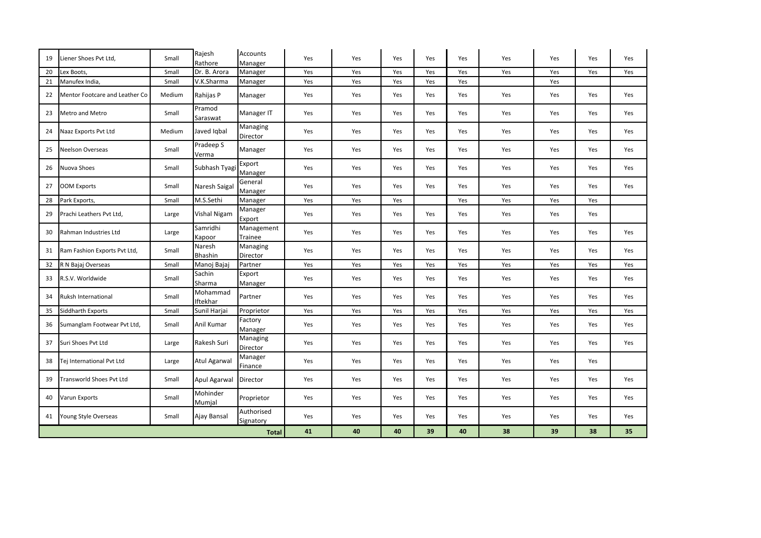| 19 | Liener Shoes Pvt Ltd,           | Small  | Rajesh<br>Rathore        | <b>Accounts</b><br>Manager | Yes | Yes | Yes | Yes | Yes | Yes | Yes | Yes | Yes |
|----|---------------------------------|--------|--------------------------|----------------------------|-----|-----|-----|-----|-----|-----|-----|-----|-----|
| 20 | Lex Boots,                      | Small  | Dr. B. Arora             | Manager                    | Yes | Yes | Yes | Yes | Yes | Yes | Yes | Yes | Yes |
| 21 | Manufex India,                  | Small  | V.K.Sharma               | Manager                    | Yes | Yes | Yes | Yes | Yes |     | Yes |     |     |
| 22 | Mentor Footcare and Leather Co  | Medium | Rahijas P                | Manager                    | Yes | Yes | Yes | Yes | Yes | Yes | Yes | Yes | Yes |
| 23 | Metro and Metro                 | Small  | Pramod<br>Saraswat       | Manager IT                 | Yes | Yes | Yes | Yes | Yes | Yes | Yes | Yes | Yes |
| 24 | Naaz Exports Pvt Ltd            | Medium | Javed Iqbal              | Managing<br>Director       | Yes | Yes | Yes | Yes | Yes | Yes | Yes | Yes | Yes |
| 25 | <b>Neelson Overseas</b>         | Small  | Pradeep S<br>Verma       | Manager                    | Yes | Yes | Yes | Yes | Yes | Yes | Yes | Yes | Yes |
| 26 | Nuova Shoes                     | Small  | Subhash Tyagi            | Export<br>Manager          | Yes | Yes | Yes | Yes | Yes | Yes | Yes | Yes | Yes |
| 27 | <b>OOM Exports</b>              | Small  | Naresh Saigal            | General<br>Manager         | Yes | Yes | Yes | Yes | Yes | Yes | Yes | Yes | Yes |
| 28 | Park Exports,                   | Small  | M.S.Sethi                | Manager                    | Yes | Yes | Yes |     | Yes | Yes | Yes | Yes |     |
| 29 | Prachi Leathers Pvt Ltd,        | Large  | Vishal Nigam             | Manager<br>Export          | Yes | Yes | Yes | Yes | Yes | Yes | Yes | Yes |     |
| 30 | Rahman Industries Ltd           | Large  | Samridhi<br>Kapoor       | Management<br>Trainee      | Yes | Yes | Yes | Yes | Yes | Yes | Yes | Yes | Yes |
| 31 | Ram Fashion Exports Pvt Ltd,    | Small  | Naresh<br><b>Bhashin</b> | Managing<br>Director       | Yes | Yes | Yes | Yes | Yes | Yes | Yes | Yes | Yes |
| 32 | R N Bajaj Overseas              | Small  | Manoj Bajaj              | Partner                    | Yes | Yes | Yes | Yes | Yes | Yes | Yes | Yes | Yes |
| 33 | R.S.V. Worldwide                | Small  | Sachin<br>Sharma         | Export<br>Manager          | Yes | Yes | Yes | Yes | Yes | Yes | Yes | Yes | Yes |
| 34 | Ruksh International             | Small  | Mohammad<br>Iftekhar     | Partner                    | Yes | Yes | Yes | Yes | Yes | Yes | Yes | Yes | Yes |
| 35 | Siddharth Exports               | Small  | Sunil Harjai             | Proprietor                 | Yes | Yes | Yes | Yes | Yes | Yes | Yes | Yes | Yes |
| 36 | Sumanglam Footwear Pvt Ltd,     | Small  | Anil Kumar               | Factory<br>Manager         | Yes | Yes | Yes | Yes | Yes | Yes | Yes | Yes | Yes |
| 37 | Suri Shoes Pvt Ltd              | Large  | Rakesh Suri              | Managing<br>Director       | Yes | Yes | Yes | Yes | Yes | Yes | Yes | Yes | Yes |
| 38 | Tej International Pvt Ltd       | Large  | Atul Agarwal             | Manager<br>Finance         | Yes | Yes | Yes | Yes | Yes | Yes | Yes | Yes |     |
| 39 | <b>Transworld Shoes Pvt Ltd</b> | Small  | <b>Apul Agarwal</b>      | Director                   | Yes | Yes | Yes | Yes | Yes | Yes | Yes | Yes | Yes |
| 40 | Varun Exports                   | Small  | Mohinder<br>Mumjal       | Proprietor                 | Yes | Yes | Yes | Yes | Yes | Yes | Yes | Yes | Yes |
| 41 | Young Style Overseas            | Small  | Ajay Bansal              | Authorised<br>Signatory    | Yes | Yes | Yes | Yes | Yes | Yes | Yes | Yes | Yes |
|    |                                 |        |                          | <b>Total</b>               | 41  | 40  | 40  | 39  | 40  | 38  | 39  | 38  | 35  |